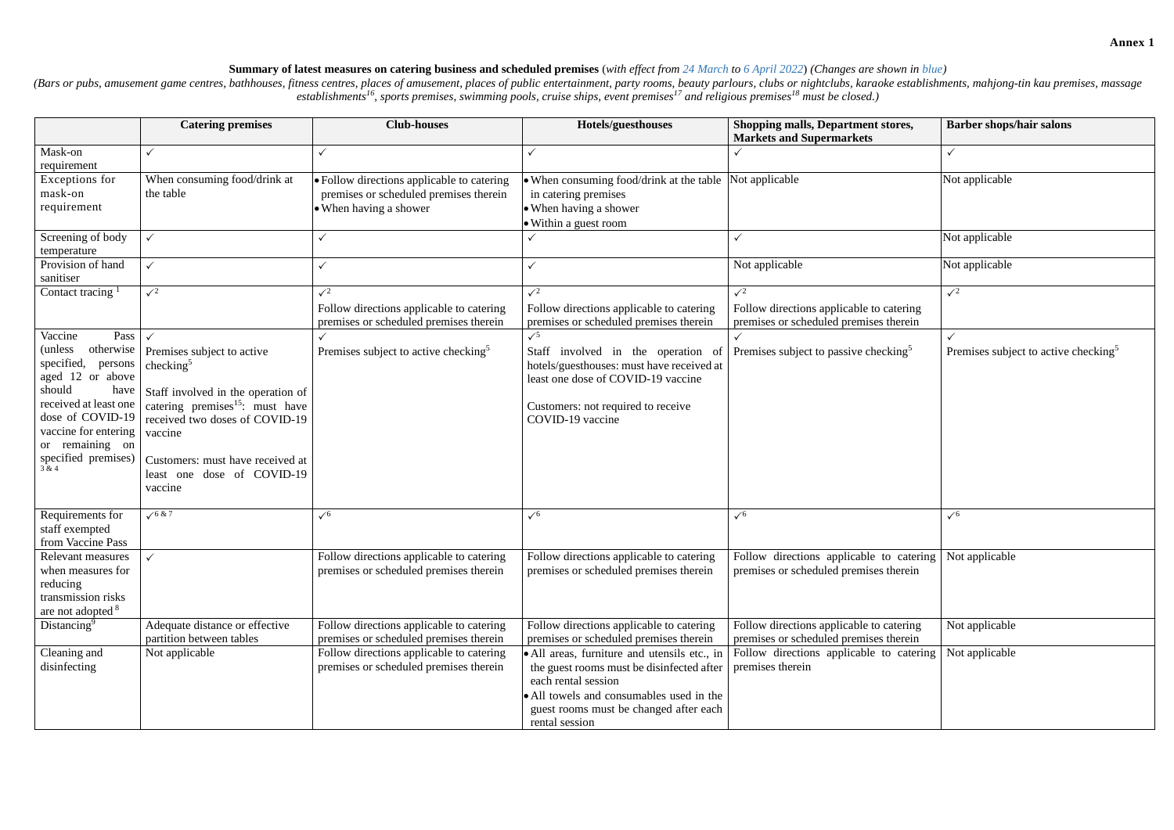## **Summary of latest measures on catering business and scheduled premises** (*with effect from 24 March to 6 April 2022*) *(Changes are shown in blue)*

(Bars or pubs, amusement game centres, bathhouses, fitness centres, places of amusement, places of public entertainment, party rooms, beauty parlours, clubs or nightclubs, karaoke establishments, mahjong-tin kau premises, *establishments<sup>16</sup>, sports premises, swimming pools, cruise ships, event premises<sup>17</sup> and religious premises<sup>18</sup> must be closed.)*

|                                                                                                                                                                                                                                 | <b>Catering premises</b>                                                                                                                                                                                                                                  | <b>Club-houses</b>                                                                                             | Hotels/guesthouses                                                                                                                                                                                                       | Shopping malls, Department stores,<br><b>Markets and Supermarkets</b>                             | <b>Barber shops/hair salons</b>                  |
|---------------------------------------------------------------------------------------------------------------------------------------------------------------------------------------------------------------------------------|-----------------------------------------------------------------------------------------------------------------------------------------------------------------------------------------------------------------------------------------------------------|----------------------------------------------------------------------------------------------------------------|--------------------------------------------------------------------------------------------------------------------------------------------------------------------------------------------------------------------------|---------------------------------------------------------------------------------------------------|--------------------------------------------------|
| Mask-on<br>requirement                                                                                                                                                                                                          |                                                                                                                                                                                                                                                           |                                                                                                                |                                                                                                                                                                                                                          |                                                                                                   |                                                  |
| Exceptions for<br>mask-on<br>requirement                                                                                                                                                                                        | When consuming food/drink at<br>the table                                                                                                                                                                                                                 | • Follow directions applicable to catering<br>premises or scheduled premises therein<br>• When having a shower | • When consuming food/drink at the table<br>in catering premises<br>• When having a shower<br>• Within a guest room                                                                                                      | Not applicable                                                                                    | Not applicable                                   |
| Screening of body<br>temperature                                                                                                                                                                                                |                                                                                                                                                                                                                                                           |                                                                                                                |                                                                                                                                                                                                                          |                                                                                                   | Not applicable                                   |
| Provision of hand<br>sanitiser                                                                                                                                                                                                  | $\checkmark$                                                                                                                                                                                                                                              |                                                                                                                |                                                                                                                                                                                                                          | Not applicable                                                                                    | Not applicable                                   |
| Contact tracing                                                                                                                                                                                                                 | $\sqrt{2}$                                                                                                                                                                                                                                                | $\sqrt{2}$<br>Follow directions applicable to catering<br>premises or scheduled premises therein               | $\sqrt{2}$<br>Follow directions applicable to catering<br>premises or scheduled premises therein                                                                                                                         | $\sqrt{2}$<br>Follow directions applicable to catering<br>premises or scheduled premises therein  | $\sqrt{2}$                                       |
| Vaccine<br>Pass<br>otherwise<br>(unless)<br>specified,<br>persons<br>aged 12 or above<br>should<br>have<br>received at least one<br>dose of COVID-19<br>vaccine for entering<br>or remaining on<br>specified premises)<br>3 & 4 | Premises subject to active<br>checking $5$<br>Staff involved in the operation of<br>catering premises <sup>15</sup> : must have<br>received two doses of COVID-19<br>vaccine<br>Customers: must have received at<br>least one dose of COVID-19<br>vaccine | Premises subject to active checking <sup>5</sup>                                                               | $\sqrt{5}$<br>Staff involved in the operation of<br>hotels/guesthouses: must have received at<br>least one dose of COVID-19 vaccine<br>Customers: not required to receive<br>COVID-19 vaccine                            | Premises subject to passive checking <sup>5</sup>                                                 | Premises subject to active checking <sup>5</sup> |
| Requirements for<br>staff exempted<br>from Vaccine Pass                                                                                                                                                                         | $\sqrt{6}$ & 7                                                                                                                                                                                                                                            | $\sqrt{6}$                                                                                                     | $\sqrt{6}$                                                                                                                                                                                                               | $\sqrt{6}$                                                                                        | $\sqrt{6}$                                       |
| Relevant measures<br>when measures for<br>reducing<br>transmission risks<br>are not adopted <sup>8</sup>                                                                                                                        |                                                                                                                                                                                                                                                           | Follow directions applicable to catering<br>premises or scheduled premises therein                             | Follow directions applicable to catering<br>premises or scheduled premises therein                                                                                                                                       | Follow directions applicable to catering Not applicable<br>premises or scheduled premises therein |                                                  |
| Distancing <sup>9</sup>                                                                                                                                                                                                         | Adequate distance or effective<br>partition between tables                                                                                                                                                                                                | Follow directions applicable to catering<br>premises or scheduled premises therein                             | Follow directions applicable to catering<br>premises or scheduled premises therein                                                                                                                                       | Follow directions applicable to catering<br>premises or scheduled premises therein                | Not applicable                                   |
| Cleaning and<br>disinfecting                                                                                                                                                                                                    | Not applicable                                                                                                                                                                                                                                            | Follow directions applicable to catering<br>premises or scheduled premises therein                             | • All areas, furniture and utensils etc., in<br>the guest rooms must be disinfected after<br>each rental session<br>• All towels and consumables used in the<br>guest rooms must be changed after each<br>rental session | Follow directions applicable to catering<br>premises therein                                      | Not applicable                                   |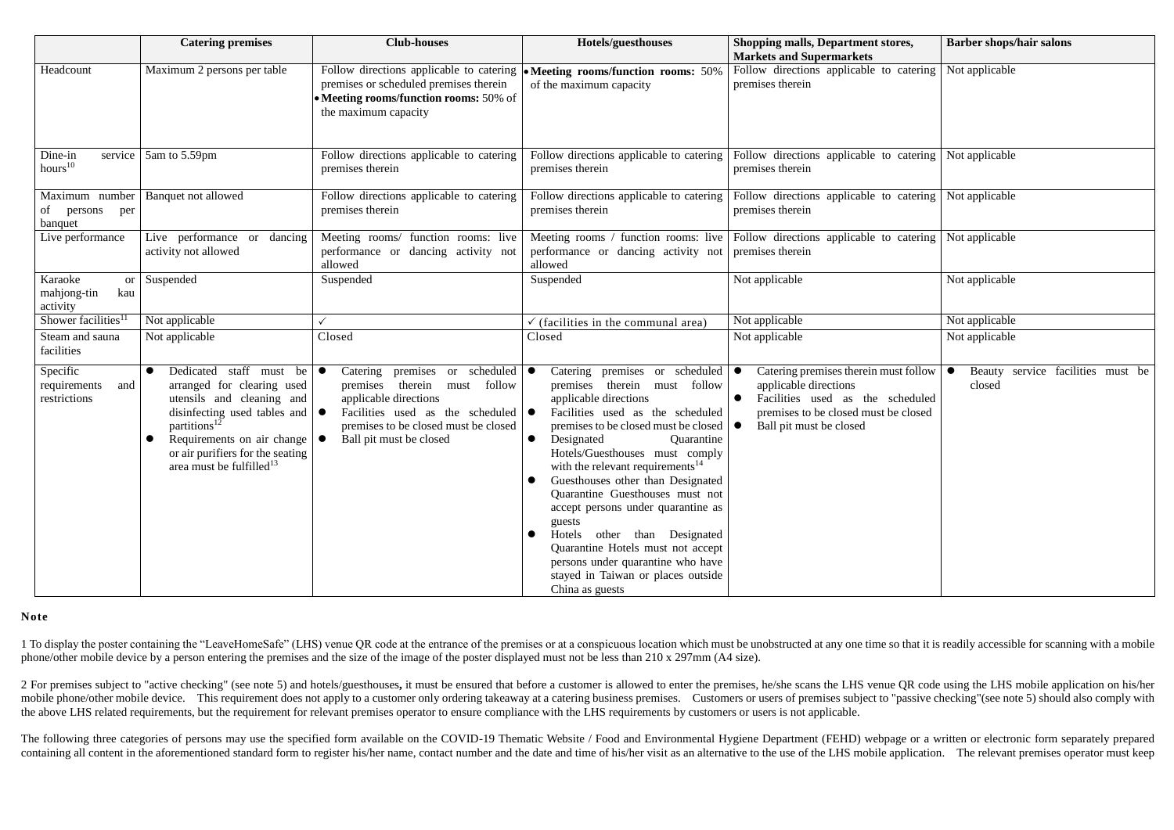|                                                        | <b>Catering premises</b>                                                                                                                                                                                                                                                                              | <b>Club-houses</b>                                                                                                                                                                                                       | Hotels/guesthouses                                                                                                                                                                                                                                                                                                                                                                                                                                                                                                                                                                                                  | <b>Shopping malls, Department stores,</b><br><b>Markets and Supermarkets</b>                                                                                                                             | <b>Barber shops/hair salons</b>             |
|--------------------------------------------------------|-------------------------------------------------------------------------------------------------------------------------------------------------------------------------------------------------------------------------------------------------------------------------------------------------------|--------------------------------------------------------------------------------------------------------------------------------------------------------------------------------------------------------------------------|---------------------------------------------------------------------------------------------------------------------------------------------------------------------------------------------------------------------------------------------------------------------------------------------------------------------------------------------------------------------------------------------------------------------------------------------------------------------------------------------------------------------------------------------------------------------------------------------------------------------|----------------------------------------------------------------------------------------------------------------------------------------------------------------------------------------------------------|---------------------------------------------|
| Headcount                                              | Maximum 2 persons per table                                                                                                                                                                                                                                                                           | premises or scheduled premises therein<br>• Meeting rooms/function rooms: 50% of<br>the maximum capacity                                                                                                                 | Follow directions applicable to catering $\bullet$ Meeting rooms/function rooms: 50%<br>of the maximum capacity                                                                                                                                                                                                                                                                                                                                                                                                                                                                                                     | Follow directions applicable to catering<br>premises therein                                                                                                                                             | Not applicable                              |
| Dine-in<br>service<br>hours <sup>10</sup>              | 5am to 5.59pm                                                                                                                                                                                                                                                                                         | Follow directions applicable to catering<br>premises therein                                                                                                                                                             | Follow directions applicable to catering<br>premises therein                                                                                                                                                                                                                                                                                                                                                                                                                                                                                                                                                        | Follow directions applicable to catering<br>premises therein                                                                                                                                             | Not applicable                              |
| Maximum number<br>of<br>persons<br>per<br>banquet      | Banquet not allowed                                                                                                                                                                                                                                                                                   | Follow directions applicable to catering<br>premises therein                                                                                                                                                             | Follow directions applicable to catering<br>premises therein                                                                                                                                                                                                                                                                                                                                                                                                                                                                                                                                                        | Follow directions applicable to catering<br>premises therein                                                                                                                                             | Not applicable                              |
| Live performance                                       | Live performance or<br>dancing<br>activity not allowed                                                                                                                                                                                                                                                | Meeting rooms/ function rooms: live<br>performance or dancing activity not<br>allowed                                                                                                                                    | Meeting rooms / function rooms: live<br>performance or dancing activity not<br>allowed                                                                                                                                                                                                                                                                                                                                                                                                                                                                                                                              | Follow directions applicable to catering<br>premises therein                                                                                                                                             | Not applicable                              |
| Karaoke<br><b>or</b><br>mahjong-tin<br>kau<br>activity | Suspended                                                                                                                                                                                                                                                                                             | Suspended                                                                                                                                                                                                                | Suspended                                                                                                                                                                                                                                                                                                                                                                                                                                                                                                                                                                                                           | Not applicable                                                                                                                                                                                           | Not applicable                              |
| Shower facilities <sup>11</sup>                        | Not applicable                                                                                                                                                                                                                                                                                        | $\checkmark$                                                                                                                                                                                                             | $\checkmark$ (facilities in the communal area)                                                                                                                                                                                                                                                                                                                                                                                                                                                                                                                                                                      | Not applicable                                                                                                                                                                                           | Not applicable                              |
| Steam and sauna<br>facilities                          | Not applicable                                                                                                                                                                                                                                                                                        | Closed                                                                                                                                                                                                                   | Closed                                                                                                                                                                                                                                                                                                                                                                                                                                                                                                                                                                                                              | Not applicable                                                                                                                                                                                           | Not applicable                              |
| Specific<br>requirements<br>and<br>restrictions        | Dedicated staff must be $\bullet$<br>arranged for clearing used<br>utensils and cleaning and<br>disinfecting used tables and $\vert \bullet \vert$<br>partitions <sup>12</sup><br>Requirements on air change $\vert \bullet \vert$<br>or air purifiers for the seating<br>area must be fulfilled $13$ | Catering premises or scheduled $\bullet$<br>therein must<br>follow<br>premises<br>applicable directions<br>Facilities used as the scheduled $\bullet$<br>premises to be closed must be closed<br>Ball pit must be closed | Catering premises or scheduled $\bullet$<br>therein must follow<br>premises<br>applicable directions<br>Facilities used as the scheduled<br>premises to be closed must be closed<br>Designated<br>Quarantine<br>$\bullet$<br>Hotels/Guesthouses must comply<br>with the relevant requirements <sup>14</sup><br>Guesthouses other than Designated<br>Quarantine Guesthouses must not<br>accept persons under quarantine as<br>guests<br>Hotels other than Designated<br>$\bullet$<br>Quarantine Hotels must not accept<br>persons under quarantine who have<br>stayed in Taiwan or places outside<br>China as guests | Catering premises therein must follow $\vert \bullet \vert$<br>applicable directions<br>Facilities used as the scheduled<br>$\bullet$<br>premises to be closed must be closed<br>Ball pit must be closed | Beauty service facilities must be<br>closed |

1 To display the poster containing the "LeaveHomeSafe" (LHS) venue QR code at the entrance of the premises or at a conspicuous location which must be unobstructed at any one time so that it is readily accessible for scanni phone/other mobile device by a person entering the premises and the size of the image of the poster displayed must not be less than 210 x 297mm (A4 size).

2 For premises subject to "active checking" (see note 5) and hotels/guesthouses, it must be ensured that before a customer is allowed to enter the premises, he/she scans the LHS venue QR code using the LHS mobile applicati mobile phone/other mobile device. This requirement does not apply to a customer only ordering takeaway at a catering business premises. Customers or users of premises subject to "passive checking"(see note 5) should also c the above LHS related requirements, but the requirement for relevant premises operator to ensure compliance with the LHS requirements by customers or users is not applicable.

The following three categories of persons may use the specified form available on the COVID-19 Thematic Website / Food and Environmental Hygiene Department (FEHD) webpage or a written or electronic form separately prepared containing all content in the aforementioned standard form to register his/her name, contact number and the date and time of his/her visit as an alternative to the use of the LHS mobile application. The relevant premises o

## **Note**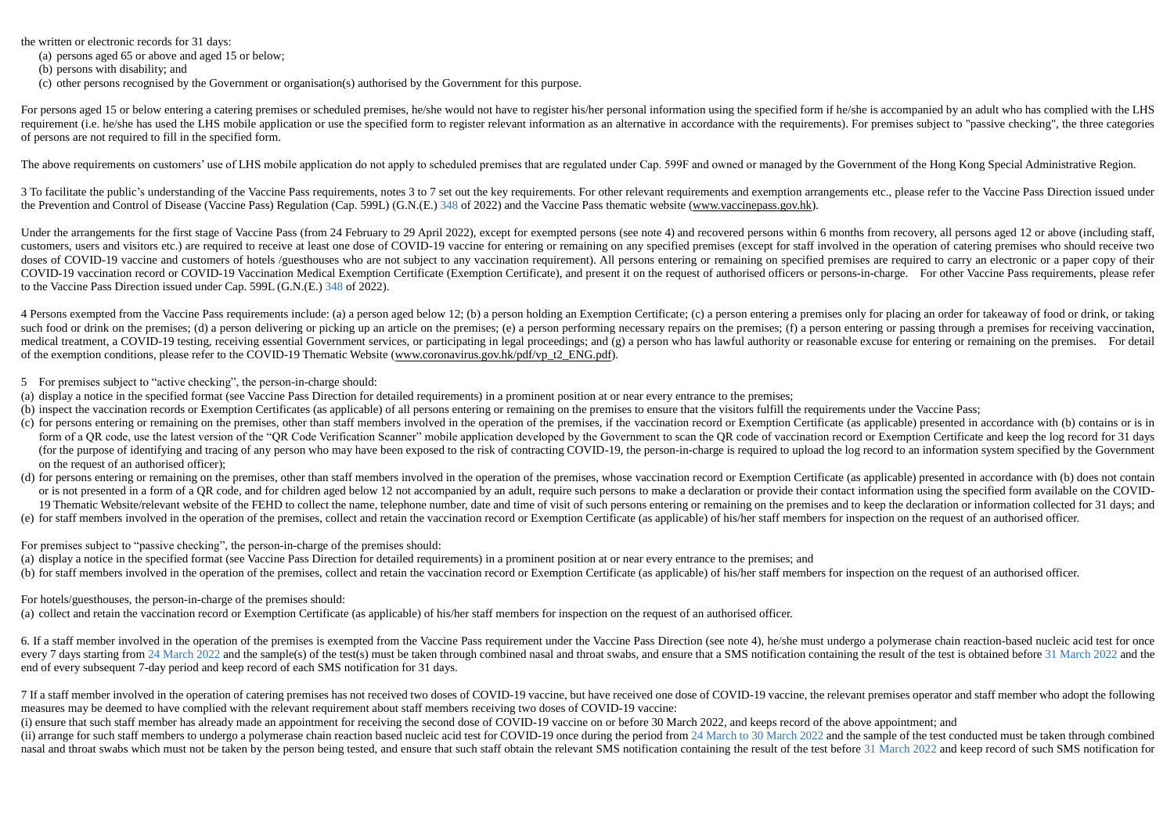the written or electronic records for 31 days:

- (a) persons aged 65 or above and aged 15 or below;
- (b) persons with disability; and
- (c) other persons recognised by the Government or organisation(s) authorised by the Government for this purpose.

For persons aged 15 or below entering a catering premises or scheduled premises, he/she would not have to register his/her personal information using the specified form if he/she is accompanied by an adult who has complied requirement (i.e. he/she has used the LHS mobile application or use the specified form to register relevant information as an alternative in accordance with the requirements). For premises subject to "passive checking", th of persons are not required to fill in the specified form.

The above requirements on customers' use of LHS mobile application do not apply to scheduled premises that are regulated under Cap. 599F and owned or managed by the Government of the Hong Kong Special Administrative Region

3 To facilitate the public's understanding of the Vaccine Pass requirements, notes 3 to 7 set out the key requirements. For other relevant requirements and exemption arrangements etc., please refer to the Vaccine Pass Dire the Prevention and Control of Disease (Vaccine Pass) Regulation (Cap. 599L) (G.N.(E.) 348 of 2022) and the Vaccine Pass thematic website [\(www.vaccinepass.gov.hk\)](http://www.vaccinepass.gov.hk/).

Under the arrangements for the first stage of Vaccine Pass (from 24 February to 29 April 2022), except for exempted persons (see note 4) and recovered persons within 6 months from recovery, all persons aged 12 or above (in customers, users and visitors etc.) are required to receive at least one dose of COVID-19 vaccine for entering or remaining on any specified premises (except for staff involved in the operation of catering premises who sho doses of COVID-19 vaccine and customers of hotels /guesthouses who are not subject to any vaccination requirement). All persons entering or remaining on specified premises are required to carry an electronic or a paper cop COVID-19 vaccination record or COVID-19 Vaccination Medical Exemption Certificate (Exemption Certificate), and present it on the request of authorised officers or persons-in-charge. For other Vaccine Pass requirements, ple to the Vaccine Pass Direction issued under Cap. 599L (G.N.(E.) 348 of 2022).

4 Persons exempted from the Vaccine Pass requirements include: (a) a person aged below 12; (b) a person holding an Exemption Certificate; (c) a person entering a premises only for placing an order for takeaway of food or d such food or drink on the premises; (d) a person delivering or picking up an article on the premises; (e) a person performing necessary repairs on the premises; (f) a person entering or passing through a premises for recei medical treatment, a COVID-19 testing, receiving essential Government services, or participating in legal proceedings; and (g) a person who has lawful authority or reasonable excuse for entering or remaining on the premise of the exemption conditions, please refer to the COVID-19 Thematic Website [\(www.coronavirus.gov.hk/pdf/vp\\_t2\\_ENG.pdf\)](https://www.coronavirus.gov.hk/pdf/vp_t2_ENG.pdf).

- 5 For premises subject to "active checking", the person-in-charge should:
- (a) display a notice in the specified format (see Vaccine Pass Direction for detailed requirements) in a prominent position at or near every entrance to the premises;
- (b) inspect the vaccination records or Exemption Certificates (as applicable) of all persons entering or remaining on the premises to ensure that the visitors fulfill the requirements under the Vaccine Pass;
- (c) for persons entering or remaining on the premises, other than staff members involved in the operation of the premises, if the vaccination record or Exemption Certificate (as applicable) presented in accordance with (b) form of a OR code, use the latest version of the "OR Code Verification Scanner" mobile application developed by the Government to scan the OR code of vaccination record or Exemption Certificate and keep the log record for (for the purpose of identifying and tracing of any person who may have been exposed to the risk of contracting COVID-19, the person-in-charge is required to upload the log record to an information system specified by the G on the request of an authorised officer);
- (d) for persons entering or remaining on the premises, other than staff members involved in the operation of the premises, whose vaccination record or Exemption Certificate (as applicable) presented in accordance with (b) or is not presented in a form of a OR code, and for children aged below 12 not accompanied by an adult, require such persons to make a declaration or provide their contact information using the specified form available on 19 Thematic Website/relevant website of the FEHD to collect the name, telephone number, date and time of visit of such persons entering or remaining on the premises and to keep the declaration or information collected for
- (e) for staff members involved in the operation of the premises, collect and retain the vaccination record or Exemption Certificate (as applicable) of his/her staff members for inspection on the request of an authorised of

6. If a staff member involved in the operation of the premises is exempted from the Vaccine Pass requirement under the Vaccine Pass Direction (see note 4), he/she must undergo a polymerase chain reaction-based nucleic acid every 7 days starting from 24 March 2022 and the sample(s) of the test(s) must be taken through combined nasal and throat swabs, and ensure that a SMS notification containing the result of the test is obtained before 31 Ma end of every subsequent 7-day period and keep record of each SMS notification for 31 days.

7 If a staff member involved in the operation of catering premises has not received two doses of COVID-19 vaccine, but have received one dose of COVID-19 vaccine, the relevant premises operator and staff member who adopt t measures may be deemed to have complied with the relevant requirement about staff members receiving two doses of COVID-19 vaccine:

(i) ensure that such staff member has already made an appointment for receiving the second dose of COVID-19 vaccine on or before 30 March 2022, and keeps record of the above appointment; and (ii) arrange for such staff members to undergo a polymerase chain reaction based nucleic acid test for COVID-19 once during the period from 24 March to 30 March 2022 and the sample of the test conducted must be taken throu nasal and throat swabs which must not be taken by the person being tested, and ensure that such staff obtain the relevant SMS notification containing the result of the test before 31 March 2022 and keep record of such SMS

For premises subject to "passive checking", the person-in-charge of the premises should:

(a) display a notice in the specified format (see Vaccine Pass Direction for detailed requirements) in a prominent position at or near every entrance to the premises; and

(b) for staff members involved in the operation of the premises, collect and retain the vaccination record or Exemption Certificate (as applicable) of his/her staff members for inspection on the request of an authorised of

For hotels/guesthouses, the person-in-charge of the premises should:

(a) collect and retain the vaccination record or Exemption Certificate (as applicable) of his/her staff members for inspection on the request of an authorised officer.